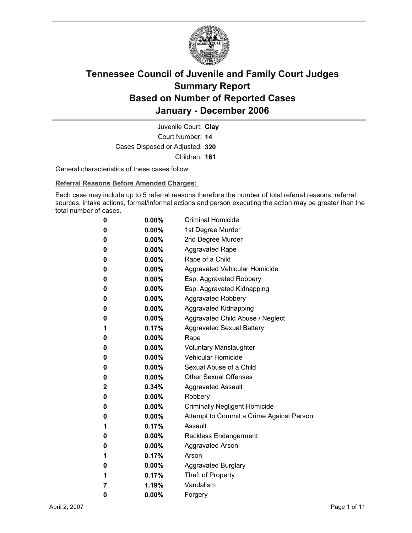

Court Number: **14** Juvenile Court: **Clay** Cases Disposed or Adjusted: **320** Children: **161**

General characteristics of these cases follow:

**Referral Reasons Before Amended Charges:** 

Each case may include up to 5 referral reasons therefore the number of total referral reasons, referral sources, intake actions, formal/informal actions and person executing the action may be greater than the total number of cases.

| 0 | 0.00%    | <b>Criminal Homicide</b>                 |
|---|----------|------------------------------------------|
| 0 | $0.00\%$ | 1st Degree Murder                        |
| 0 | $0.00\%$ | 2nd Degree Murder                        |
| 0 | $0.00\%$ | <b>Aggravated Rape</b>                   |
| 0 | 0.00%    | Rape of a Child                          |
| 0 | $0.00\%$ | Aggravated Vehicular Homicide            |
| 0 | $0.00\%$ | Esp. Aggravated Robbery                  |
| 0 | 0.00%    | Esp. Aggravated Kidnapping               |
| 0 | 0.00%    | <b>Aggravated Robbery</b>                |
| 0 | $0.00\%$ | <b>Aggravated Kidnapping</b>             |
| 0 | $0.00\%$ | Aggravated Child Abuse / Neglect         |
| 1 | 0.17%    | <b>Aggravated Sexual Battery</b>         |
| 0 | 0.00%    | Rape                                     |
| 0 | $0.00\%$ | <b>Voluntary Manslaughter</b>            |
| 0 | $0.00\%$ | <b>Vehicular Homicide</b>                |
| 0 | $0.00\%$ | Sexual Abuse of a Child                  |
| 0 | $0.00\%$ | <b>Other Sexual Offenses</b>             |
| 2 | 0.34%    | <b>Aggravated Assault</b>                |
| 0 | $0.00\%$ | Robbery                                  |
| 0 | 0.00%    | <b>Criminally Negligent Homicide</b>     |
| 0 | $0.00\%$ | Attempt to Commit a Crime Against Person |
| 1 | 0.17%    | Assault                                  |
| 0 | 0.00%    | <b>Reckless Endangerment</b>             |
| 0 | $0.00\%$ | Aggravated Arson                         |
| 1 | 0.17%    | Arson                                    |
| 0 | 0.00%    | <b>Aggravated Burglary</b>               |
| 1 | 0.17%    | Theft of Property                        |
| 7 | 1.19%    | Vandalism                                |
| 0 | 0.00%    | Forgery                                  |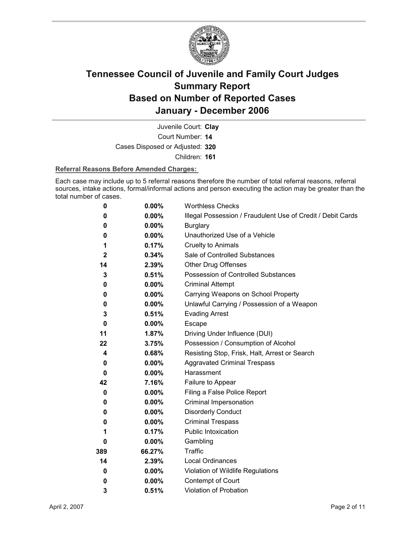

Court Number: **14** Juvenile Court: **Clay** Cases Disposed or Adjusted: **320** Children: **161**

#### **Referral Reasons Before Amended Charges:**

Each case may include up to 5 referral reasons therefore the number of total referral reasons, referral sources, intake actions, formal/informal actions and person executing the action may be greater than the total number of cases.

| 0            | 0.00%    | <b>Worthless Checks</b>                                     |
|--------------|----------|-------------------------------------------------------------|
| 0            | $0.00\%$ | Illegal Possession / Fraudulent Use of Credit / Debit Cards |
| 0            | $0.00\%$ | <b>Burglary</b>                                             |
| 0            | $0.00\%$ | Unauthorized Use of a Vehicle                               |
| 1            | 0.17%    | <b>Cruelty to Animals</b>                                   |
| $\mathbf{2}$ | 0.34%    | Sale of Controlled Substances                               |
| 14           | 2.39%    | <b>Other Drug Offenses</b>                                  |
| 3            | 0.51%    | Possession of Controlled Substances                         |
| 0            | $0.00\%$ | <b>Criminal Attempt</b>                                     |
| 0            | 0.00%    | Carrying Weapons on School Property                         |
| 0            | $0.00\%$ | Unlawful Carrying / Possession of a Weapon                  |
| 3            | 0.51%    | <b>Evading Arrest</b>                                       |
| 0            | $0.00\%$ | Escape                                                      |
| 11           | 1.87%    | Driving Under Influence (DUI)                               |
| 22           | 3.75%    | Possession / Consumption of Alcohol                         |
| 4            | 0.68%    | Resisting Stop, Frisk, Halt, Arrest or Search               |
| 0            | $0.00\%$ | <b>Aggravated Criminal Trespass</b>                         |
| 0            | $0.00\%$ | Harassment                                                  |
| 42           | 7.16%    | Failure to Appear                                           |
| 0            | $0.00\%$ | Filing a False Police Report                                |
| 0            | $0.00\%$ | Criminal Impersonation                                      |
| 0            | $0.00\%$ | <b>Disorderly Conduct</b>                                   |
| 0            | $0.00\%$ | <b>Criminal Trespass</b>                                    |
| 1            | 0.17%    | <b>Public Intoxication</b>                                  |
| 0            | $0.00\%$ | Gambling                                                    |
| 389          | 66.27%   | <b>Traffic</b>                                              |
| 14           | 2.39%    | <b>Local Ordinances</b>                                     |
| 0            | $0.00\%$ | Violation of Wildlife Regulations                           |
| 0            | $0.00\%$ | Contempt of Court                                           |
| 3            | 0.51%    | Violation of Probation                                      |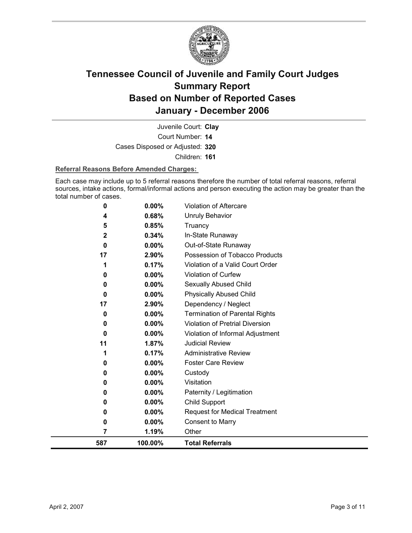

Court Number: **14** Juvenile Court: **Clay** Cases Disposed or Adjusted: **320** Children: **161**

#### **Referral Reasons Before Amended Charges:**

Each case may include up to 5 referral reasons therefore the number of total referral reasons, referral sources, intake actions, formal/informal actions and person executing the action may be greater than the total number of cases.

| 587            | 100.00%        | <b>Total Referrals</b>                                 |
|----------------|----------------|--------------------------------------------------------|
| 7              | 1.19%          | Other                                                  |
| 0              | $0.00\%$       | <b>Consent to Marry</b>                                |
| 0              | 0.00%          | <b>Request for Medical Treatment</b>                   |
| 0              | 0.00%          | Child Support                                          |
| 0              | 0.00%          | Paternity / Legitimation                               |
| 0              | $0.00\%$       | Visitation                                             |
| 0              | 0.00%          | Custody                                                |
| 0              | $0.00\%$       | <b>Foster Care Review</b>                              |
| 1              | 0.17%          | <b>Administrative Review</b>                           |
| 11             | 1.87%          | <b>Judicial Review</b>                                 |
| $\bf{0}$       | 0.00%          | Violation of Informal Adjustment                       |
| 0              | 0.00%          | Violation of Pretrial Diversion                        |
| 0              | 0.00%          | <b>Termination of Parental Rights</b>                  |
| 17             | 2.90%          | Dependency / Neglect                                   |
| $\bf{0}$       | $0.00\%$       | <b>Physically Abused Child</b>                         |
| 0              | 0.00%          | Sexually Abused Child                                  |
| 0              | 0.00%          | Violation of Curfew                                    |
| 1              | 0.17%          | Violation of a Valid Court Order                       |
| $\bf{0}$<br>17 | 0.00%<br>2.90% | Out-of-State Runaway<br>Possession of Tobacco Products |
| $\mathbf{2}$   | 0.34%          | In-State Runaway                                       |
| 5              | 0.85%          | Truancy                                                |
| 4              | 0.68%          | <b>Unruly Behavior</b>                                 |
| 0              | 0.00%          | <b>Violation of Aftercare</b>                          |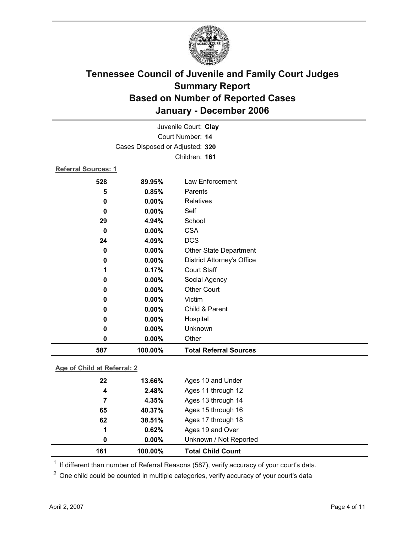

| Juvenile Court: Clay       |                                 |                                   |  |  |
|----------------------------|---------------------------------|-----------------------------------|--|--|
|                            | Court Number: 14                |                                   |  |  |
|                            | Cases Disposed or Adjusted: 320 |                                   |  |  |
|                            |                                 | Children: 161                     |  |  |
| <b>Referral Sources: 1</b> |                                 |                                   |  |  |
| 528                        | 89.95%                          | Law Enforcement                   |  |  |
| 5                          | 0.85%                           | Parents                           |  |  |
| 0                          | 0.00%                           | <b>Relatives</b>                  |  |  |
| 0                          | 0.00%                           | Self                              |  |  |
| 29                         | 4.94%                           | School                            |  |  |
| 0                          | 0.00%                           | <b>CSA</b>                        |  |  |
| 24                         | 4.09%                           | <b>DCS</b>                        |  |  |
| 0                          | 0.00%                           | <b>Other State Department</b>     |  |  |
| 0                          | 0.00%                           | <b>District Attorney's Office</b> |  |  |
| 1                          | 0.17%                           | <b>Court Staff</b>                |  |  |
| 0                          | 0.00%                           | Social Agency                     |  |  |
| 0                          | $0.00\%$                        | <b>Other Court</b>                |  |  |
| 0                          | $0.00\%$                        | Victim                            |  |  |
| 0                          | 0.00%                           | Child & Parent                    |  |  |
| 0                          | 0.00%                           | Hospital                          |  |  |
| 0                          | 0.00%                           | Unknown                           |  |  |
| 0                          | 0.00%                           | Other                             |  |  |
| 587                        | 100.00%                         | <b>Total Referral Sources</b>     |  |  |

### **Age of Child at Referral: 2**

| 161 | 100.00% | <b>Total Child Count</b> |
|-----|---------|--------------------------|
| 0   | 0.00%   | Unknown / Not Reported   |
| 1   | 0.62%   | Ages 19 and Over         |
| 62  | 38.51%  | Ages 17 through 18       |
| 65  | 40.37%  | Ages 15 through 16       |
| 7   | 4.35%   | Ages 13 through 14       |
| 4   | 2.48%   | Ages 11 through 12       |
| 22  | 13.66%  | Ages 10 and Under        |
|     |         |                          |

<sup>1</sup> If different than number of Referral Reasons (587), verify accuracy of your court's data.

<sup>2</sup> One child could be counted in multiple categories, verify accuracy of your court's data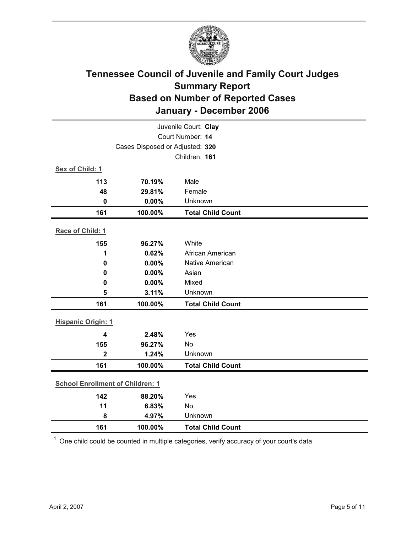

| Juvenile Court: Clay                    |                                 |                          |  |  |  |
|-----------------------------------------|---------------------------------|--------------------------|--|--|--|
|                                         | Court Number: 14                |                          |  |  |  |
|                                         | Cases Disposed or Adjusted: 320 |                          |  |  |  |
|                                         |                                 | Children: 161            |  |  |  |
| Sex of Child: 1                         |                                 |                          |  |  |  |
| 113                                     | 70.19%                          | Male                     |  |  |  |
| 48                                      | 29.81%                          | Female                   |  |  |  |
| $\mathbf 0$                             | 0.00%                           | Unknown                  |  |  |  |
| 161                                     | 100.00%                         | <b>Total Child Count</b> |  |  |  |
| Race of Child: 1                        |                                 |                          |  |  |  |
| 155                                     | 96.27%                          | White                    |  |  |  |
| 1                                       | 0.62%                           | African American         |  |  |  |
| $\pmb{0}$                               | 0.00%                           | Native American          |  |  |  |
| 0                                       | 0.00%                           | Asian                    |  |  |  |
| 0                                       | 0.00%                           | Mixed                    |  |  |  |
| 5                                       | 3.11%                           | Unknown                  |  |  |  |
| 161                                     | 100.00%                         | <b>Total Child Count</b> |  |  |  |
| <b>Hispanic Origin: 1</b>               |                                 |                          |  |  |  |
| $\overline{\mathbf{4}}$                 | 2.48%                           | Yes                      |  |  |  |
| 155                                     | 96.27%                          | No                       |  |  |  |
| $\mathbf 2$                             | 1.24%                           | Unknown                  |  |  |  |
| 161                                     | 100.00%                         | <b>Total Child Count</b> |  |  |  |
| <b>School Enrollment of Children: 1</b> |                                 |                          |  |  |  |
| 142                                     | 88.20%                          | Yes                      |  |  |  |
| 11                                      | 6.83%                           | <b>No</b>                |  |  |  |
| 8                                       | 4.97%                           | Unknown                  |  |  |  |
| 161                                     | 100.00%                         | <b>Total Child Count</b> |  |  |  |

 $1$  One child could be counted in multiple categories, verify accuracy of your court's data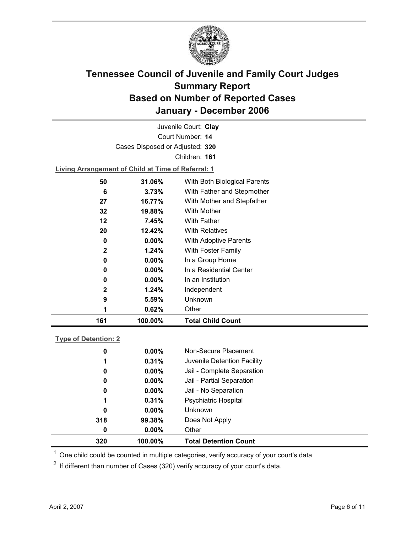

Court Number: **14** Juvenile Court: **Clay** Cases Disposed or Adjusted: **320** Children: **161**

**Living Arrangement of Child at Time of Referral: 1**

| 161          | 100.00%  | <b>Total Child Count</b>     |
|--------------|----------|------------------------------|
|              | 0.62%    | Other                        |
| 9            | 5.59%    | Unknown                      |
| $\mathbf{2}$ | 1.24%    | Independent                  |
| 0            | $0.00\%$ | In an Institution            |
| 0            | $0.00\%$ | In a Residential Center      |
| 0            | $0.00\%$ | In a Group Home              |
| $\mathbf{2}$ | 1.24%    | With Foster Family           |
| 0            | $0.00\%$ | With Adoptive Parents        |
| 20           | 12.42%   | <b>With Relatives</b>        |
| 12           | 7.45%    | <b>With Father</b>           |
| 32           | 19.88%   | With Mother                  |
| 27           | 16.77%   | With Mother and Stepfather   |
| 6            | 3.73%    | With Father and Stepmother   |
| 50           | 31.06%   | With Both Biological Parents |
|              |          |                              |

### **Type of Detention: 2**

| 320 | 100.00%  | <b>Total Detention Count</b> |
|-----|----------|------------------------------|
| 0   | $0.00\%$ | Other                        |
| 318 | 99.38%   | Does Not Apply               |
| 0   | $0.00\%$ | <b>Unknown</b>               |
| 1   | 0.31%    | <b>Psychiatric Hospital</b>  |
| 0   | $0.00\%$ | Jail - No Separation         |
| 0   | $0.00\%$ | Jail - Partial Separation    |
| 0   | $0.00\%$ | Jail - Complete Separation   |
| 1   | 0.31%    | Juvenile Detention Facility  |
| 0   | $0.00\%$ | Non-Secure Placement         |
|     |          |                              |

 $<sup>1</sup>$  One child could be counted in multiple categories, verify accuracy of your court's data</sup>

 $2$  If different than number of Cases (320) verify accuracy of your court's data.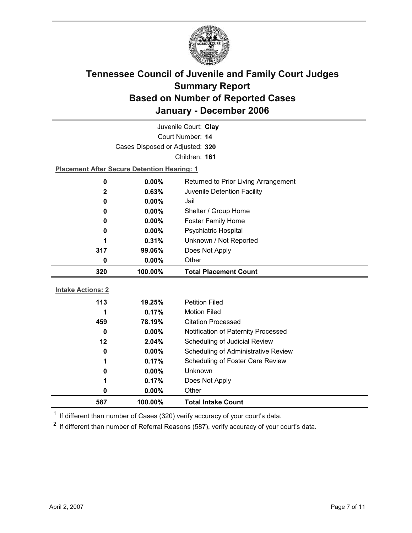

| Juvenile Court: Clay     |                                                    |                                      |  |  |
|--------------------------|----------------------------------------------------|--------------------------------------|--|--|
|                          | Court Number: 14                                   |                                      |  |  |
|                          | Cases Disposed or Adjusted: 320                    |                                      |  |  |
|                          |                                                    | Children: 161                        |  |  |
|                          | <b>Placement After Secure Detention Hearing: 1</b> |                                      |  |  |
| $\bf{0}$                 | 0.00%                                              | Returned to Prior Living Arrangement |  |  |
| $\mathbf{2}$             | 0.63%                                              | Juvenile Detention Facility          |  |  |
| 0                        | 0.00%                                              | Jail                                 |  |  |
| 0                        | $0.00\%$                                           | Shelter / Group Home                 |  |  |
| 0                        | $0.00\%$                                           | <b>Foster Family Home</b>            |  |  |
| 0                        | 0.00%                                              | Psychiatric Hospital                 |  |  |
| 1                        | 0.31%                                              | Unknown / Not Reported               |  |  |
| 317                      | 99.06%                                             | Does Not Apply                       |  |  |
| 0                        | $0.00\%$                                           | Other                                |  |  |
|                          |                                                    |                                      |  |  |
| 320                      | 100.00%                                            | <b>Total Placement Count</b>         |  |  |
|                          |                                                    |                                      |  |  |
| <b>Intake Actions: 2</b> |                                                    |                                      |  |  |
| 113                      | 19.25%                                             | <b>Petition Filed</b>                |  |  |
| 1                        | 0.17%                                              | <b>Motion Filed</b>                  |  |  |
| 459                      | 78.19%                                             | <b>Citation Processed</b>            |  |  |
| 0                        | $0.00\%$                                           | Notification of Paternity Processed  |  |  |
| 12                       | 2.04%                                              | Scheduling of Judicial Review        |  |  |
| 0                        | $0.00\%$                                           | Scheduling of Administrative Review  |  |  |
| 1                        | 0.17%                                              | Scheduling of Foster Care Review     |  |  |
| 0                        | 0.00%                                              | Unknown                              |  |  |
| 1                        | 0.17%                                              | Does Not Apply                       |  |  |
| 0                        | 0.00%                                              | Other                                |  |  |

 $1$  If different than number of Cases (320) verify accuracy of your court's data.

 $2$  If different than number of Referral Reasons (587), verify accuracy of your court's data.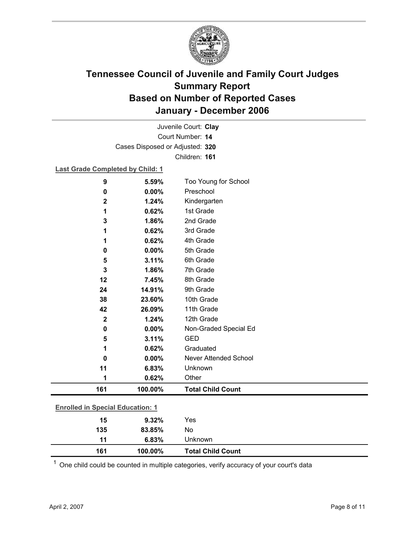

Court Number: **14** Juvenile Court: **Clay** Cases Disposed or Adjusted: **320** Children: **161**

#### **Last Grade Completed by Child: 1**

| 9                                       | 5.59%   | Too Young for School         |  |  |
|-----------------------------------------|---------|------------------------------|--|--|
| 0                                       | 0.00%   | Preschool                    |  |  |
| $\mathbf 2$                             | 1.24%   | Kindergarten                 |  |  |
| 1                                       | 0.62%   | 1st Grade                    |  |  |
| 3                                       | 1.86%   | 2nd Grade                    |  |  |
| 1                                       | 0.62%   | 3rd Grade                    |  |  |
| 1                                       | 0.62%   | 4th Grade                    |  |  |
| 0                                       | 0.00%   | 5th Grade                    |  |  |
| 5                                       | 3.11%   | 6th Grade                    |  |  |
| 3                                       | 1.86%   | 7th Grade                    |  |  |
| 12                                      | 7.45%   | 8th Grade                    |  |  |
| 24                                      | 14.91%  | 9th Grade                    |  |  |
| 38                                      | 23.60%  | 10th Grade                   |  |  |
| 42                                      | 26.09%  | 11th Grade                   |  |  |
| $\mathbf{2}$                            | 1.24%   | 12th Grade                   |  |  |
| $\mathbf 0$                             | 0.00%   | Non-Graded Special Ed        |  |  |
| 5                                       | 3.11%   | <b>GED</b>                   |  |  |
| 1                                       | 0.62%   | Graduated                    |  |  |
| 0                                       | 0.00%   | <b>Never Attended School</b> |  |  |
| 11                                      | 6.83%   | Unknown                      |  |  |
| 1                                       | 0.62%   | Other                        |  |  |
| 161                                     | 100.00% | <b>Total Child Count</b>     |  |  |
|                                         |         |                              |  |  |
| <b>Enrolled in Special Education: 1</b> |         |                              |  |  |
| 15                                      | 9.32%   | Yes                          |  |  |
| 135                                     | 83.85%  | No                           |  |  |

 $1$  One child could be counted in multiple categories, verify accuracy of your court's data

**11 6.83%** Unknown

**161 100.00% Total Child Count**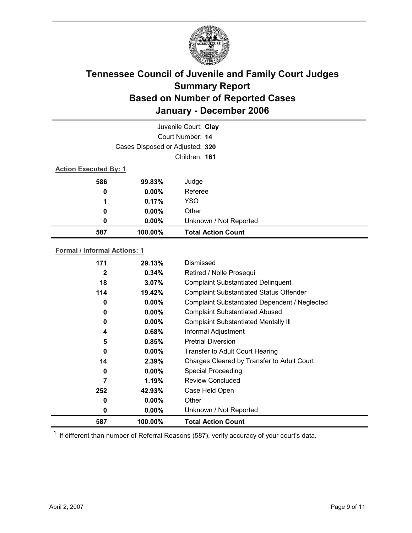

|                              |                                 | Juvenile Court: Clay      |  |
|------------------------------|---------------------------------|---------------------------|--|
|                              |                                 | Court Number: 14          |  |
|                              | Cases Disposed or Adjusted: 320 |                           |  |
|                              | Children: 161                   |                           |  |
| <b>Action Executed By: 1</b> |                                 |                           |  |
| 586                          | 99.83%                          | Judge                     |  |
| 0                            | $0.00\%$                        | Referee                   |  |
| 1                            | 0.17%                           | <b>YSO</b>                |  |
| 0                            | $0.00\%$                        | Other                     |  |
| 0                            | 0.00%                           | Unknown / Not Reported    |  |
| 587                          | 100.00%                         | <b>Total Action Count</b> |  |

### **Formal / Informal Actions: 1**

| 171 | 29.13%   | Dismissed                                      |
|-----|----------|------------------------------------------------|
| 2   | $0.34\%$ | Retired / Nolle Prosequi                       |
| 18  | $3.07\%$ | <b>Complaint Substantiated Delinquent</b>      |
| 114 | 19.42%   | <b>Complaint Substantiated Status Offender</b> |
| 0   | $0.00\%$ | Complaint Substantiated Dependent / Neglected  |
| 0   | $0.00\%$ | <b>Complaint Substantiated Abused</b>          |
| 0   | $0.00\%$ | <b>Complaint Substantiated Mentally III</b>    |
| 4   | 0.68%    | Informal Adjustment                            |
| 5   | 0.85%    | <b>Pretrial Diversion</b>                      |
| 0   | $0.00\%$ | <b>Transfer to Adult Court Hearing</b>         |
| 14  | 2.39%    | Charges Cleared by Transfer to Adult Court     |
| 0   | $0.00\%$ | <b>Special Proceeding</b>                      |
| 7   | 1.19%    | <b>Review Concluded</b>                        |
| 252 | 42.93%   | Case Held Open                                 |
| 0   | $0.00\%$ | Other                                          |
| 0   | $0.00\%$ | Unknown / Not Reported                         |
| 587 | 100.00%  | <b>Total Action Count</b>                      |

 $1$  If different than number of Referral Reasons (587), verify accuracy of your court's data.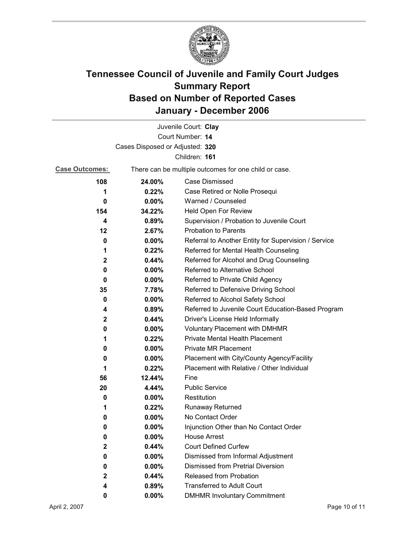

|                       |                                                       | Juvenile Court: Clay                                 |  |
|-----------------------|-------------------------------------------------------|------------------------------------------------------|--|
|                       |                                                       | Court Number: 14                                     |  |
|                       | Cases Disposed or Adjusted: 320                       |                                                      |  |
|                       |                                                       | Children: 161                                        |  |
| <b>Case Outcomes:</b> | There can be multiple outcomes for one child or case. |                                                      |  |
| 108                   | 24.00%                                                | <b>Case Dismissed</b>                                |  |
| 1                     | 0.22%                                                 | Case Retired or Nolle Prosequi                       |  |
| 0                     | 0.00%                                                 | Warned / Counseled                                   |  |
| 154                   | 34.22%                                                | Held Open For Review                                 |  |
| 4                     | 0.89%                                                 | Supervision / Probation to Juvenile Court            |  |
| 12                    | 2.67%                                                 | <b>Probation to Parents</b>                          |  |
| 0                     | $0.00\%$                                              | Referral to Another Entity for Supervision / Service |  |
| 1                     | 0.22%                                                 | Referred for Mental Health Counseling                |  |
| $\mathbf 2$           | 0.44%                                                 | Referred for Alcohol and Drug Counseling             |  |
| 0                     | 0.00%                                                 | Referred to Alternative School                       |  |
| 0                     | $0.00\%$                                              | Referred to Private Child Agency                     |  |
| 35                    | 7.78%                                                 | Referred to Defensive Driving School                 |  |
| 0                     | $0.00\%$                                              | Referred to Alcohol Safety School                    |  |
| 4                     | 0.89%                                                 | Referred to Juvenile Court Education-Based Program   |  |
| 2                     | 0.44%                                                 | Driver's License Held Informally                     |  |
| 0                     | $0.00\%$                                              | <b>Voluntary Placement with DMHMR</b>                |  |
| 1                     | 0.22%                                                 | Private Mental Health Placement                      |  |
| 0                     | $0.00\%$                                              | <b>Private MR Placement</b>                          |  |
| 0                     | $0.00\%$                                              | Placement with City/County Agency/Facility           |  |
| 1                     | 0.22%                                                 | Placement with Relative / Other Individual           |  |
| 56                    | $12.44\%$                                             | Fine                                                 |  |
| 20                    | 4.44%                                                 | <b>Public Service</b>                                |  |
| 0                     | $0.00\%$                                              | Restitution                                          |  |
| 1                     | 0.22%                                                 | <b>Runaway Returned</b>                              |  |
| 0                     | 0.00%                                                 | No Contact Order                                     |  |
| 0                     | 0.00%                                                 | Injunction Other than No Contact Order               |  |
| 0                     | 0.00%                                                 | <b>House Arrest</b>                                  |  |
| 2                     | 0.44%                                                 | <b>Court Defined Curfew</b>                          |  |
| 0                     | $0.00\%$                                              | Dismissed from Informal Adjustment                   |  |
| 0                     | 0.00%                                                 | <b>Dismissed from Pretrial Diversion</b>             |  |
| $\mathbf 2$           | 0.44%                                                 | Released from Probation                              |  |
| 4                     | 0.89%                                                 | <b>Transferred to Adult Court</b>                    |  |
| 0                     | $0.00\%$                                              | <b>DMHMR Involuntary Commitment</b>                  |  |